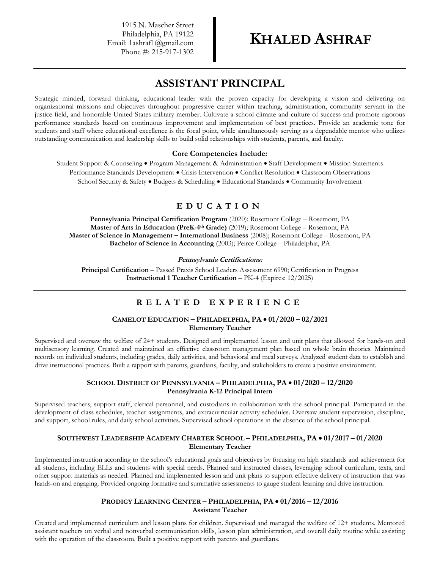1915 N. Mascher Street Philadelphia, PA 19122 Email: 1ashraf1@gmail.com Phone #: 215-917-1302

# **ASSISTANT PRINCIPAL**

Strategic minded, forward thinking, educational leader with the proven capacity for developing a vision and delivering on organizational missions and objectives throughout progressive career within teaching, administration, community servant in the justice field, and honorable United States military member. Cultivate a school climate and culture of success and promote rigorous performance standards based on continuous improvement and implementation of best practices. Provide an academic tone for students and staff where educational excellence is the focal point, while simultaneously serving as a dependable mentor who utilizes outstanding communication and leadership skills to build solid relationships with students, parents, and faculty.

#### **Core Competencies Include:**

Student Support & Counseling • Program Management & Administration • Staff Development • Mission Statements Performance Standards Development • Crisis Intervention • Conflict Resolution • Classroom Observations School Security & Safety • Budgets & Scheduling • Educational Standards • Community Involvement

# **E D U C A T I O N**

**Pennsylvania Principal Certification Program** (2020); Rosemont College – Rosemont, PA **Master of Arts in Education (PreK-4 th Grade)** (2019); Rosemont College – Rosemont, PA **Master of Science in Management – International Business** (2008); Rosemont College – Rosemont, PA **Bachelor of Science in Accounting** (2003); Peirce College – Philadelphia, PA

#### **Pennsylvania Certifications:**

**Principal Certification** – Passed Praxis School Leaders Assessment 6990; Certification in Progress **Instructional 1 Teacher Certification** – PK-4 (Expires: 12/2025)

## **R E L A T E D E X P E R I E N C E**

### **CAMELOT EDUCATION – PHILADELPHIA, PA** • **01/2020 – 02/2021 Elementary Teacher**

Supervised and oversaw the welfare of 24+ students. Designed and implemented lesson and unit plans that allowed for hands-on and multisensory learning. Created and maintained an effective classroom management plan based on whole brain theories. Maintained records on individual students, including grades, daily activities, and behavioral and meal surveys. Analyzed student data to establish and drive instructional practices. Built a rapport with parents, guardians, faculty, and stakeholders to create a positive environment.

#### **SCHOOL DISTRICT OF PENNSYLVANIA – PHILADELPHIA, PA** • **01/2020 – 12/2020 Pennsylvania K-12 Principal Intern**

Supervised teachers, support staff, clerical personnel, and custodians in collaboration with the school principal. Participated in the development of class schedules, teacher assignments, and extracurricular activity schedules. Oversaw student supervision, discipline, and support, school rules, and daily school activities. Supervised school operations in the absence of the school principal.

### **SOUTHWEST LEADERSHIP ACADEMY CHARTER SCHOOL – PHILADELPHIA, PA** • **01/2017 – 01/2020 Elementary Teacher**

Implemented instruction according to the school's educational goals and objectives by focusing on high standards and achievement for all students, including ELLs and students with special needs. Planned and instructed classes, leveraging school curriculum, texts, and other support materials as needed. Planned and implemented lesson and unit plans to support effective delivery of instruction that was hands-on and engaging. Provided ongoing formative and summative assessments to gauge student learning and drive instruction.

#### **PRODIGY LEARNING CENTER – PHILADELPHIA, PA** • **01/2016 – 12/2016 Assistant Teacher**

Created and implemented curriculum and lesson plans for children. Supervised and managed the welfare of 12+ students. Mentored assistant teachers on verbal and nonverbal communication skills, lesson plan administration, and overall daily routine while assisting with the operation of the classroom. Built a positive rapport with parents and guardians.